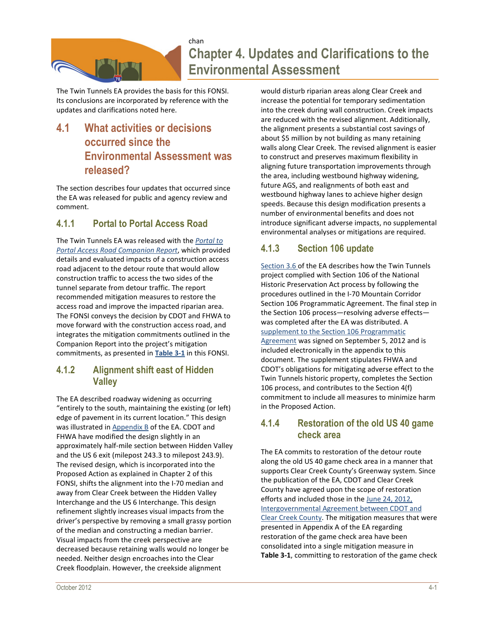

# chan **Chapter 4. Updates and Clarifications to the Environmental Assessment**

The Twin Tunnels EA provides the basis for this FONSI. Its conclusions are incorporated by reference with the updates and clarifications noted here.

# **4.1 What activities or decisions occurred since the Environmental Assessment was released?**

The section describes four updates that occurred since the EA was released for public and agency review and comment.

## **4.1.1 Portal to Portal Access Road**

The Twin Tunnels EA was released with the *Portal to Portal Access Road Companion Report*, which provided details and evaluated impacts of a construction access road adjacent to the detour route that would allow construction traffic to access the two sides of the tunnel separate from detour traffic. The report recommended mitigation measures to restore the access road and improve the impacted riparian area. The FONSI conveys the decision by CDOT and FHWA to move forward with the construction access road, and integrates the mitigation commitments outlined in the Companion Report into the project's mitigation commitments, as presented in **Table 3-1** in this FONSI.

#### **4.1.2 Alignment shift east of Hidden Valley**

The EA described roadway widening as occurring "entirely to the south, maintaining the existing (or left) edge of pavement in its current location." This design was illustrated in Appendix B of the EA. CDOT and FHWA have modified the design slightly in an approximately half-mile section between Hidden Valley and the US 6 exit (milepost 243.3 to milepost 243.9). The revised design, which is incorporated into the Proposed Action as explained in Chapter 2 of this FONSI, shifts the alignment into the I-70 median and away from Clear Creek between the Hidden Valley Interchange and the US 6 Interchange. This design refinement slightly increases visual impacts from the driver's perspective by removing a small grassy portion of the median and constructing a median barrier. Visual impacts from the creek perspective are decreased because retaining walls would no longer be needed. Neither design encroaches into the Clear Creek floodplain. However, the creekside alignment

would disturb riparian areas along Clear Creek and increase the potential for temporary sedimentation into the creek during wall construction. Creek impacts are reduced with the revised alignment. Additionally, the alignment presents a substantial cost savings of about \$5 million by not building as many retaining walls along Clear Creek. The revised alignment is easier to construct and preserves maximum flexibility in aligning future transportation improvements through the area, including westbound highway widening, future AGS, and realignments of both east and westbound highway lanes to achieve higher design speeds. Because this design modification presents a number of environmental benefits and does not introduce significant adverse impacts, no supplemental environmental analyses or mitigations are required.

# **4.1.3 Section 106 update**

Section 3.6 of the EA describes how the Twin Tunnels project complied with Section 106 of the National Historic Preservation Act process by following the procedures outlined in the I-70 Mountain Corridor Section 106 Programmatic Agreement. The final step in the Section 106 process—resolving adverse effects was completed after the EA was distributed. A supplement to the Section 106 Programmatic Agreement was signed on September 5, 2012 and is included electronically in the appendix to this document. The supplement stipulates FHWA and CDOT's obligations for mitigating adverse effect to the Twin Tunnels historic property, completes the Section 106 process, and contributes to the Section 4(f) commitment to include all measures to minimize harm in the Proposed Action.

#### **4.1.4 Restoration of the old US 40 game check area**

The EA commits to restoration of the detour route along the old US 40 game check area in a manner that supports Clear Creek County's Greenway system. Since the publication of the EA, CDOT and Clear Creek County have agreed upon the scope of restoration efforts and included those in the June 24, 2012, Intergovernmental Agreement between CDOT and Clear Creek County. The mitigation measures that were presented in Appendix A of the EA regarding restoration of the game check area have been consolidated into a single mitigation measure in **Table 3-1**, committing to restoration of the game check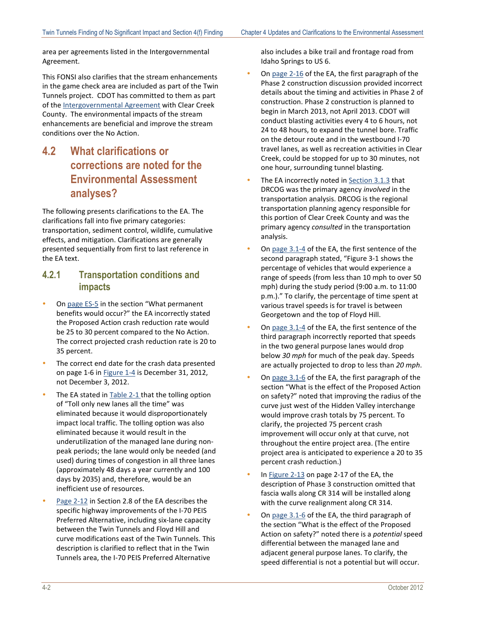area per agreements listed in the Intergovernmental Agreement.

This FONSI also clarifies that the stream enhancements in the game check area are included as part of the Twin Tunnels project. CDOT has committed to them as part of the **Intergovernmental Agreement** with Clear Creek County. The environmental impacts of the stream enhancements are beneficial and improve the stream conditions over the No Action.

**4.2 What clarifications or corrections are noted for the Environmental Assessment analyses?**

The following presents clarifications to the EA. The clarifications fall into five primary categories: transportation, sediment control, wildlife, cumulative effects, and mitigation. Clarifications are generally presented sequentially from first to last reference in the EA text.

#### **4.2.1 Transportation conditions and impacts**

- On page ES-5 in the section "What permanent benefits would occur?" the EA incorrectly stated the Proposed Action crash reduction rate would be 25 to 30 percent compared to the No Action. The correct projected crash reduction rate is 20 to 35 percent.
- The correct end date for the crash data presented on page 1-6 in Figure 1-4 is December 31, 2012, not December 3, 2012.
- The EA stated in Table 2-1 that the tolling option of "Toll only new lanes all the time" was eliminated because it would disproportionately impact local traffic. The tolling option was also eliminated because it would result in the underutilization of the managed lane during nonpeak periods; the lane would only be needed (and used) during times of congestion in all three lanes (approximately 48 days a year currently and 100 days by 2035) and, therefore, would be an inefficient use of resources.
- $\bullet$ Page 2-12 in Section 2.8 of the EA describes the specific highway improvements of the I-70 PEIS Preferred Alternative, including six-lane capacity between the Twin Tunnels and Floyd Hill and curve modifications east of the Twin Tunnels. This description is clarified to reflect that in the Twin Tunnels area, the I-70 PEIS Preferred Alternative

also includes a bike trail and frontage road from Idaho Springs to US 6.

- On page 2-16 of the EA, the first paragraph of the Phase 2 construction discussion provided incorrect details about the timing and activities in Phase 2 of construction. Phase 2 construction is planned to begin in March 2013, not April 2013. CDOT will conduct blasting activities every 4 to 6 hours, not 24 to 48 hours, to expand the tunnel bore. Traffic on the detour route and in the westbound I-70 travel lanes, as well as recreation activities in Clear Creek, could be stopped for up to 30 minutes, not one hour, surrounding tunnel blasting.
- The EA incorrectly noted in **Section 3.1.3** that DRCOG was the primary agency *involved* in the transportation analysis. DRCOG is the regional transportation planning agency responsible for this portion of Clear Creek County and was the primary agency *consulted* in the transportation analysis.
- On page 3.1-4 of the EA, the first sentence of the second paragraph stated, "Figure 3-1 shows the percentage of vehicles that would experience a range of speeds (from less than 10 mph to over 50 mph) during the study period (9:00 a.m. to 11:00 p.m.)." To clarify, the percentage of time spent at various travel speeds is for travel is between Georgetown and the top of Floyd Hill.
- On page 3.1-4 of the EA, the first sentence of the third paragraph incorrectly reported that speeds in the two general purpose lanes would drop below *30 mph* for much of the peak day. Speeds are actually projected to drop to less than *20 mph*.
- On page 3.1-6 of the EA, the first paragraph of the section "What is the effect of the Proposed Action on safety?" noted that improving the radius of the curve just west of the Hidden Valley interchange would improve crash totals by 75 percent. To clarify, the projected 75 percent crash improvement will occur only at that curve, not throughout the entire project area. (The entire project area is anticipated to experience a 20 to 35 percent crash reduction.)
- In Figure 2-13 on page 2-17 of the EA, the description of Phase 3 construction omitted that fascia walls along CR 314 will be installed along with the curve realignment along CR 314.
- On page 3.1-6 of the EA, the third paragraph of the section "What is the effect of the Proposed Action on safety?" noted there is a *potential* speed differential between the managed lane and adjacent general purpose lanes. To clarify, the speed differential is not a potential but will occur.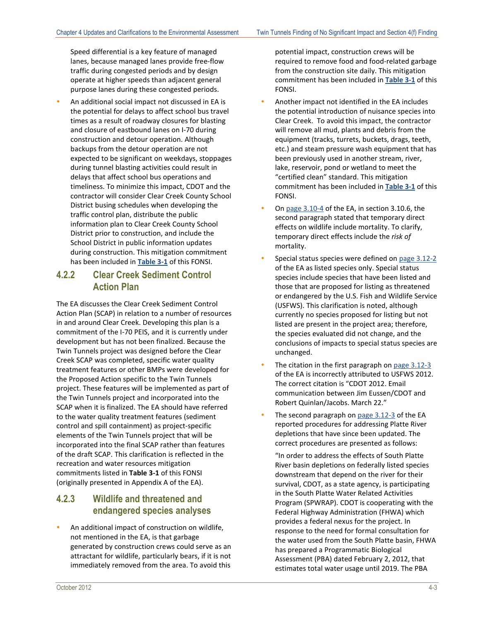Speed differential is a key feature of managed lanes, because managed lanes provide free-flow traffic during congested periods and by design operate at higher speeds than adjacent general purpose lanes during these congested periods.

 An additional social impact not discussed in EA is the potential for delays to affect school bus travel times as a result of roadway closures for blasting and closure of eastbound lanes on I-70 during construction and detour operation. Although backups from the detour operation are not expected to be significant on weekdays, stoppages during tunnel blasting activities could result in delays that affect school bus operations and timeliness. To minimize this impact, CDOT and the contractor will consider Clear Creek County School District busing schedules when developing the traffic control plan, distribute the public information plan to Clear Creek County School District prior to construction, and include the School District in public information updates during construction. This mitigation commitment has been included in **Table 3-1** of this FONSI.

### **4.2.2 Clear Creek Sediment Control Action Plan**

The EA discusses the Clear Creek Sediment Control Action Plan (SCAP) in relation to a number of resources in and around Clear Creek. Developing this plan is a commitment of the I-70 PEIS, and it is currently under development but has not been finalized. Because the Twin Tunnels project was designed before the Clear Creek SCAP was completed, specific water quality treatment features or other BMPs were developed for the Proposed Action specific to the Twin Tunnels project. These features will be implemented as part of the Twin Tunnels project and incorporated into the SCAP when it is finalized. The EA should have referred to the water quality treatment features (sediment control and spill containment) as project-specific elements of the Twin Tunnels project that will be incorporated into the final SCAP rather than features of the draft SCAP. This clarification is reflected in the recreation and water resources mitigation commitments listed in **Table 3-1** of this FONSI (originally presented in Appendix A of the EA).

### **4.2.3 Wildlife and threatened and endangered species analyses**

 An additional impact of construction on wildlife, not mentioned in the EA, is that garbage generated by construction crews could serve as an attractant for wildlife, particularly bears, if it is not immediately removed from the area. To avoid this

potential impact, construction crews will be required to remove food and food-related garbage from the construction site daily. This mitigation commitment has been included in **Table 3-1** of this FONSI.

- Another impact not identified in the EA includes the potential introduction of nuisance species into Clear Creek. To avoid this impact, the contractor will remove all mud, plants and debris from the equipment (tracks, turrets, buckets, drags, teeth, etc.) and steam pressure wash equipment that has been previously used in another stream, river, lake, reservoir, pond or wetland to meet the "certified clean" standard. This mitigation commitment has been included in **Table 3-1** of this FONSI.
- On  $page 3.10-4$  of the EA, in section 3.10.6, the second paragraph stated that temporary direct effects on wildlife include mortality. To clarify, temporary direct effects include the *risk of* mortality.
- Special status species were defined on page 3.12-2 of the EA as listed species only. Special status species include species that have been listed and those that are proposed for listing as threatened or endangered by the U.S. Fish and Wildlife Service (USFWS). This clarification is noted, although currently no species proposed for listing but not listed are present in the project area; therefore, the species evaluated did not change, and the conclusions of impacts to special status species are unchanged.
- The citation in the first paragraph on page 3.12-3 of the EA is incorrectly attributed to USFWS 2012. The correct citation is "CDOT 2012. Email communication between Jim Eussen/CDOT and Robert Quinlan/Jacobs. March 22."
- The second paragraph on page 3.12-3 of the EA reported procedures for addressing Platte River depletions that have since been updated. The correct procedures are presented as follows:

"In order to address the effects of South Platte River basin depletions on federally listed species downstream that depend on the river for their survival, CDOT, as a state agency, is participating in the South Platte Water Related Activities Program (SPWRAP). CDOT is cooperating with the Federal Highway Administration (FHWA) which provides a federal nexus for the project. In response to the need for formal consultation for the water used from the South Platte basin, FHWA has prepared a Programmatic Biological Assessment (PBA) dated February 2, 2012, that estimates total water usage until 2019. The PBA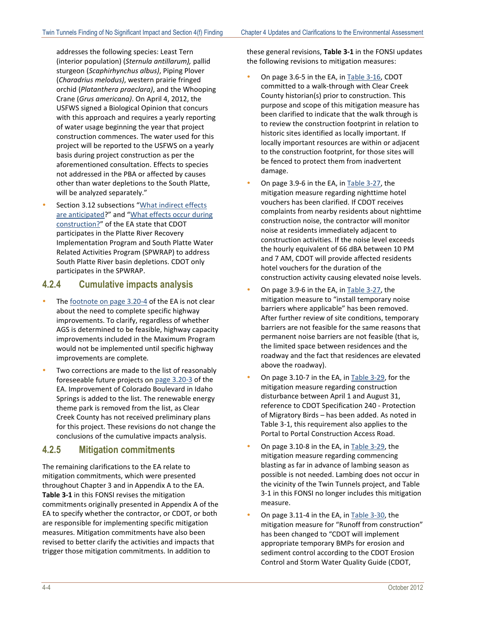addresses the following species: Least Tern (interior population) (*Sternula antillarum),* pallid sturgeon (*Scaphirhynchus albus)*, Piping Plover (*Charadrius melodus)*, western prairie fringed orchid (*Platanthera praeclara)*, and the Whooping Crane (*Grus americana)*. On April 4, 2012, the USFWS signed a Biological Opinion that concurs with this approach and requires a yearly reporting of water usage beginning the year that project construction commences. The water used for this project will be reported to the USFWS on a yearly basis during project construction as per the aforementioned consultation. Effects to species not addressed in the PBA or affected by causes other than water depletions to the South Platte, will be analyzed separately."

 Section 3.12 subsections "What indirect effects are anticipated?" and "What effects occur during construction?" of the EA state that CDOT participates in the Platte River Recovery Implementation Program and South Platte Water Related Activities Program (SPWRAP) to address South Platte River basin depletions. CDOT only participates in the SPWRAP.

#### **4.2.4 Cumulative impacts analysis**

- The footnote on page 3.20-4 of the EA is not clear about the need to complete specific highway improvements. To clarify, regardless of whether AGS is determined to be feasible, highway capacity improvements included in the Maximum Program would not be implemented until specific highway improvements are complete*.*
- Two corrections are made to the list of reasonably foreseeable future projects on page 3.20-3 of the EA. Improvement of Colorado Boulevard in Idaho Springs is added to the list. The renewable energy theme park is removed from the list, as Clear Creek County has not received preliminary plans for this project. These revisions do not change the conclusions of the cumulative impacts analysis.

#### **4.2.5 Mitigation commitments**

The remaining clarifications to the EA relate to mitigation commitments, which were presented throughout Chapter 3 and in Appendix A to the EA. **Table 3-1** in this FONSI revises the mitigation commitments originally presented in Appendix A of the EA to specify whether the contractor, or CDOT, or both are responsible for implementing specific mitigation measures. Mitigation commitments have also been revised to better clarify the activities and impacts that trigger those mitigation commitments. In addition to

these general revisions, **Table 3-1** in the FONSI updates the following revisions to mitigation measures:

- On page 3.6-5 in the EA, in Table 3-16, CDOT committed to a walk-through with Clear Creek County historian(s) prior to construction. This purpose and scope of this mitigation measure has been clarified to indicate that the walk through is to review the construction footprint in relation to historic sites identified as locally important. If locally important resources are within or adjacent to the construction footprint, for those sites will be fenced to protect them from inadvertent damage.
- On page 3.9-6 in the EA, in Table 3-27, the mitigation measure regarding nighttime hotel vouchers has been clarified. If CDOT receives complaints from nearby residents about nighttime construction noise, the contractor will monitor noise at residents immediately adjacent to construction activities. If the noise level exceeds the hourly equivalent of 66 dBA between 10 PM and 7 AM, CDOT will provide affected residents hotel vouchers for the duration of the construction activity causing elevated noise levels.
- On page 3.9-6 in the EA, in Table 3-27, the mitigation measure to "install temporary noise barriers where applicable" has been removed. After further review of site conditions, temporary barriers are not feasible for the same reasons that permanent noise barriers are not feasible (that is, the limited space between residences and the roadway and the fact that residences are elevated above the roadway).
- On page 3.10-7 in the EA, in Table 3-29, for the mitigation measure regarding construction disturbance between April 1 and August 31, reference to CDOT Specification 240 - Protection of Migratory Birds – has been added. As noted in Table 3-1, this requirement also applies to the Portal to Portal Construction Access Road.
- On page 3.10-8 in the EA, in Table 3-29, the mitigation measure regarding commencing blasting as far in advance of lambing season as possible is not needed. Lambing does not occur in the vicinity of the Twin Tunnels project, and Table 3-1 in this FONSI no longer includes this mitigation measure.
- On page 3.11-4 in the EA, in Table 3-30, the mitigation measure for "Runoff from construction" has been changed to "CDOT will implement appropriate temporary BMPs for erosion and sediment control according to the CDOT Erosion Control and Storm Water Quality Guide (CDOT,